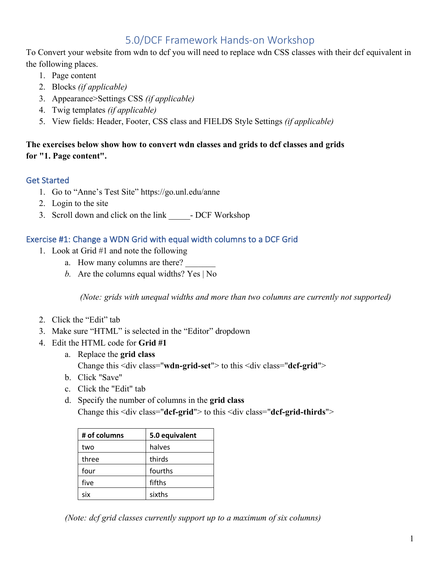# 5.0/DCF Framework Hands-on Workshop

To Convert your website from wdn to dcf you will need to replace wdn CSS classes with their dcf equivalent in the following places.

- 1. Page content
- 2. Blocks *(if applicable)*
- 3. Appearance>Settings CSS *(if applicable)*
- 4. Twig templates *(if applicable)*
- 5. View fields: Header, Footer, CSS class and FIELDS Style Settings *(if applicable)*

# **The exercises below show how to convert wdn classes and grids to dcf classes and grids for "1. Page content".**

# Get Started

- 1. Go to "Anne's Test Site" https://go.unl.edu/anne
- 2. Login to the site
- 3. Scroll down and click on the link DCF Workshop

### Exercise #1: Change a WDN Grid with equal width columns to a DCF Grid

- 1. Look at Grid #1 and note the following
	- a. How many columns are there?
	- *b.* Are the columns equal widths? Yes | No

*(Note: grids with unequal widths and more than two columns are currently not supported)*

- 2. Click the "Edit" tab
- 3. Make sure "HTML" is selected in the "Editor" dropdown
- 4. Edit the HTML code for **Grid #1**
	- a. Replace the **grid class**

Change this <div class="**wdn-grid-set**"> to this <div class="**dcf-grid**">

- b. Click "Save"
- c. Click the "Edit" tab
- d. Specify the number of columns in the **grid class**

Change this <div class="**dcf-grid**"> to this <div class="**dcf-grid-thirds**">

| # of columns | 5.0 equivalent |
|--------------|----------------|
| two          | halves         |
| three        | thirds         |
| four         | fourths        |
| five         | fifths         |
| six          | sixths         |

*(Note: dcf grid classes currently support up to a maximum of six columns)*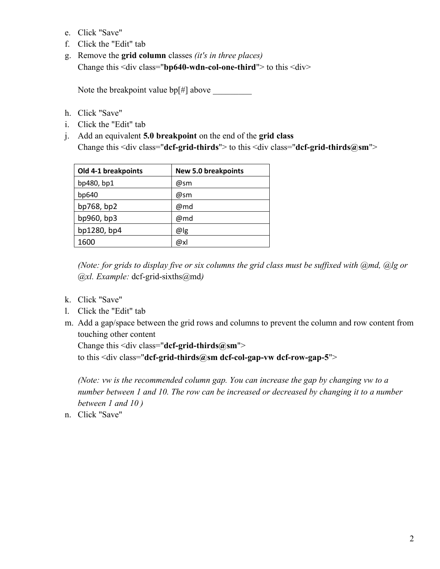- e. Click "Save"
- f. Click the "Edit" tab
- g. Remove the **grid column** classes *(it's in three places)* Change this <div class="**bp640-wdn-col-one-third**"> to this <div>

Note the breakpoint value bp[#] above \_\_\_\_\_\_\_\_\_

- h. Click "Save"
- i. Click the "Edit" tab
- j. Add an equivalent **5.0 breakpoint** on the end of the **grid class** Change this <div class="**dcf-grid-thirds**"> to this <div class="**dcf-grid-thirds@sm**">

| Old 4-1 breakpoints | <b>New 5.0 breakpoints</b> |
|---------------------|----------------------------|
| bp480, bp1          | @sm                        |
| bp640               | @sm                        |
| bp768, bp2          | @md                        |
| bp960, bp3          | @md                        |
| bp1280, bp4         | @ g                        |
| 1600                | @xl                        |

*(Note: for grids to display five or six columns the grid class must be suffixed with @md, @lg or @xl. Example:* dcf-grid-sixths@md*)*

- k. Click "Save"
- l. Click the "Edit" tab
- m. Add a gap/space between the grid rows and columns to prevent the column and row content from touching other content

Change this <div class="**dcf-grid-thirds@sm**"> to this <div class="**dcf-grid-thirds@sm dcf-col-gap-vw dcf-row-gap-5**">

*(Note: vw is the recommended column gap. You can increase the gap by changing vw to a number between 1 and 10. The row can be increased or decreased by changing it to a number between 1 and 10 )*

n. Click "Save"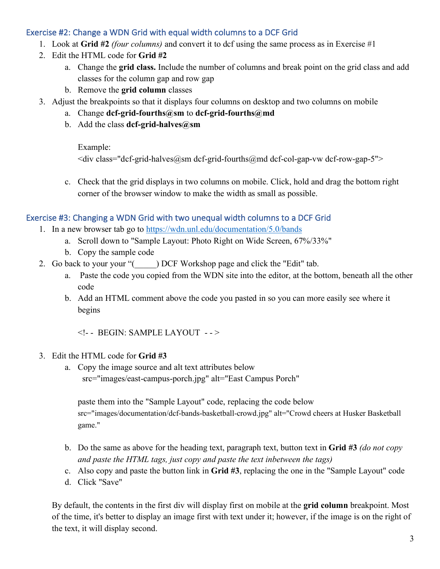### Exercise #2: Change a WDN Grid with equal width columns to a DCF Grid

- 1. Look at **Grid #2** *(four columns)* and convert it to dcf using the same process as in Exercise #1
- 2. Edit the HTML code for **Grid #2**
	- a. Change the **grid class.** Include the number of columns and break point on the grid class and add classes for the column gap and row gap
	- b. Remove the **grid column** classes
- 3. Adjust the breakpoints so that it displays four columns on desktop and two columns on mobile
	- a. Change **dcf-grid-fourths@sm** to **dcf-grid-fourths@md**
	- b. Add the class **dcf-grid-halves@sm**

Example:

 $\langle$ div class="dcf-grid-halves@sm dcf-grid-fourths@md dcf-col-gap-vw dcf-row-gap-5">

c. Check that the grid displays in two columns on mobile. Click, hold and drag the bottom right corner of the browser window to make the width as small as possible.

#### Exercise #3: Changing a WDN Grid with two unequal width columns to a DCF Grid

- 1. In a new browser tab go to https://wdn.unl.edu/documentation/5.0/bands
	- a. Scroll down to "Sample Layout: Photo Right on Wide Screen, 67%/33%"
	- b. Copy the sample code
- 2. Go back to your your "() DCF Workshop page and click the "Edit" tab.
	- a. Paste the code you copied from the WDN site into the editor, at the bottom, beneath all the other code
	- b. Add an HTML comment above the code you pasted in so you can more easily see where it begins

<!- - BEGIN: SAMPLE LAYOUT - - >

- 3. Edit the HTML code for **Grid #3**
	- a. Copy the image source and alt text attributes below src="images/east-campus-porch.jpg" alt="East Campus Porch"

paste them into the "Sample Layout" code, replacing the code below

src="images/documentation/dcf-bands-basketball-crowd.jpg" alt="Crowd cheers at Husker Basketball game."

- b. Do the same as above for the heading text, paragraph text, button text in **Grid #3** *(do not copy and paste the HTML tags, just copy and paste the text inbetween the tags)*
- c. Also copy and paste the button link in **Grid #3**, replacing the one in the "Sample Layout" code
- d. Click "Save"

By default, the contents in the first div will display first on mobile at the **grid column** breakpoint. Most of the time, it's better to display an image first with text under it; however, if the image is on the right of the text, it will display second.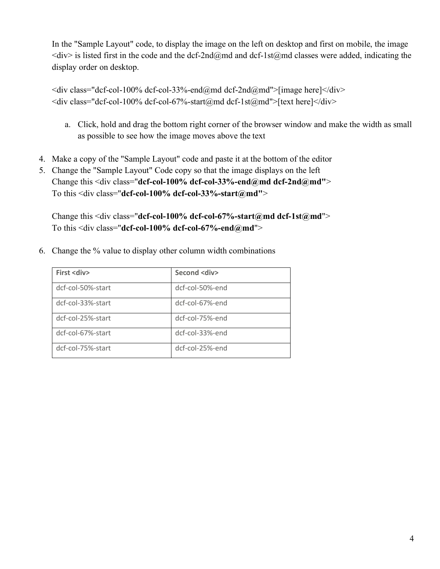In the "Sample Layout" code, to display the image on the left on desktop and first on mobile, the image  $\langle \text{div} \rangle$  is listed first in the code and the dcf-2nd@md and dcf-1st@md classes were added, indicating the display order on desktop.

 $\langle$  div class="dcf-col-100% dcf-col-33%-end@md dcf-2nd@md">[image here] $\langle$ /div>  $\langle$ div class="dcf-col-100% dcf-col-67%-start@md dcf-1st@md">[text here] $\langle$ div>

- a. Click, hold and drag the bottom right corner of the browser window and make the width as small as possible to see how the image moves above the text
- 4. Make a copy of the "Sample Layout" code and paste it at the bottom of the editor
- 5. Change the "Sample Layout" Code copy so that the image displays on the left Change this <div class="**dcf-col-100% dcf-col-33%-end@md dcf-2nd@md"**> To this <div class="**dcf-col-100% dcf-col-33%-start@md"**>

Change this <div class="**dcf-col-100% dcf-col-67%-start@md dcf-1st@md**"> To this <div class="**dcf-col-100% dcf-col-67%-end@md**">

6. Change the % value to display other column width combinations

| <b>First <div></div></b> | Second <div></div> |
|--------------------------|--------------------|
| dcf-col-50%-start        | dcf-col-50%-end    |
| dcf-col-33%-start        | dcf-col-67%-end    |
| dcf-col-25%-start        | dcf-col-75%-end    |
| dcf-col-67%-start        | dcf-col-33%-end    |
| dcf-col-75%-start        | dcf-col-25%-end    |